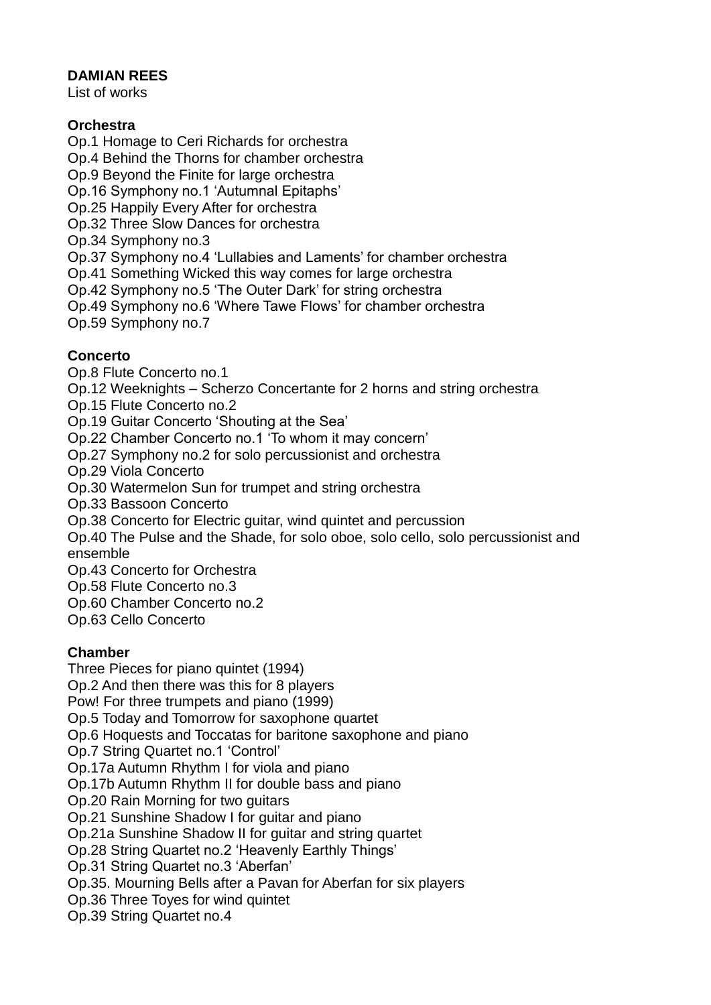### **DAMIAN REES**

List of works

## **Orchestra**

Op.1 Homage to Ceri Richards for orchestra

Op.4 Behind the Thorns for chamber orchestra

Op.9 Beyond the Finite for large orchestra

Op.16 Symphony no.1 'Autumnal Epitaphs'

Op.25 Happily Every After for orchestra

Op.32 Three Slow Dances for orchestra

Op.34 Symphony no.3

Op.37 Symphony no.4 'Lullabies and Laments' for chamber orchestra

Op.41 Something Wicked this way comes for large orchestra

Op.42 Symphony no.5 'The Outer Dark' for string orchestra

Op.49 Symphony no.6 'Where Tawe Flows' for chamber orchestra

Op.59 Symphony no.7

# **Concerto**

Op.8 Flute Concerto no.1

Op.12 Weeknights – Scherzo Concertante for 2 horns and string orchestra

Op.15 Flute Concerto no.2

Op.19 Guitar Concerto 'Shouting at the Sea'

Op.22 Chamber Concerto no.1 'To whom it may concern'

Op.27 Symphony no.2 for solo percussionist and orchestra

Op.29 Viola Concerto

Op.30 Watermelon Sun for trumpet and string orchestra

Op.33 Bassoon Concerto

Op.38 Concerto for Electric guitar, wind quintet and percussion

Op.40 The Pulse and the Shade, for solo oboe, solo cello, solo percussionist and ensemble

Op.43 Concerto for Orchestra

Op.58 Flute Concerto no.3

Op.60 Chamber Concerto no.2

Op.63 Cello Concerto

### **Chamber**

Three Pieces for piano quintet (1994)

Op.2 And then there was this for 8 players

Pow! For three trumpets and piano (1999)

Op.5 Today and Tomorrow for saxophone quartet

Op.6 Hoquests and Toccatas for baritone saxophone and piano

Op.7 String Quartet no.1 'Control'

Op.17a Autumn Rhythm I for viola and piano

Op.17b Autumn Rhythm II for double bass and piano

Op.20 Rain Morning for two guitars

Op.21 Sunshine Shadow I for guitar and piano

Op.21a Sunshine Shadow II for guitar and string quartet

Op.28 String Quartet no.2 'Heavenly Earthly Things'

Op.31 String Quartet no.3 'Aberfan'

Op.35. Mourning Bells after a Pavan for Aberfan for six players

Op.36 Three Toyes for wind quintet

Op.39 String Quartet no.4